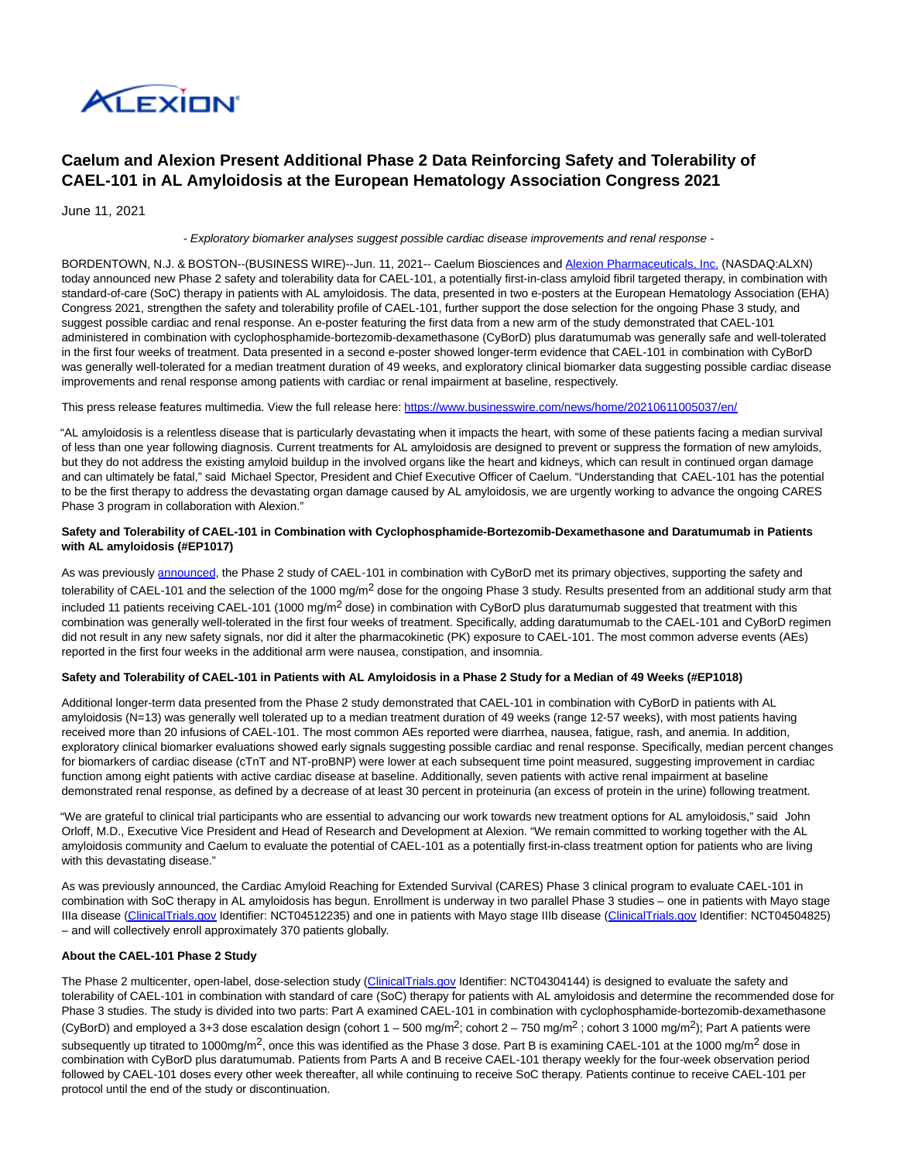

# **Caelum and Alexion Present Additional Phase 2 Data Reinforcing Safety and Tolerability of CAEL-101 in AL Amyloidosis at the European Hematology Association Congress 2021**

June 11, 2021

### - Exploratory biomarker analyses suggest possible cardiac disease improvements and renal response -

BORDENTOWN, N.J. & BOSTON--(BUSINESS WIRE)--Jun. 11, 2021-- Caelum Biosciences and [Alexion Pharmaceuticals, Inc. \(](https://cts.businesswire.com/ct/CT?id=smartlink&url=http%3A%2F%2Fwww.alexion.com%2F&esheet=52443692&newsitemid=20210611005037&lan=en-US&anchor=Alexion+Pharmaceuticals%2C+Inc.&index=1&md5=9e621300ba4bb0c31619e8bca424720a)NASDAQ:ALXN) today announced new Phase 2 safety and tolerability data for CAEL-101, a potentially first-in-class amyloid fibril targeted therapy, in combination with standard-of-care (SoC) therapy in patients with AL amyloidosis. The data, presented in two e-posters at the European Hematology Association (EHA) Congress 2021, strengthen the safety and tolerability profile of CAEL-101, further support the dose selection for the ongoing Phase 3 study, and suggest possible cardiac and renal response. An e-poster featuring the first data from a new arm of the study demonstrated that CAEL-101 administered in combination with cyclophosphamide-bortezomib-dexamethasone (CyBorD) plus daratumumab was generally safe and well-tolerated in the first four weeks of treatment. Data presented in a second e-poster showed longer-term evidence that CAEL-101 in combination with CyBorD was generally well-tolerated for a median treatment duration of 49 weeks, and exploratory clinical biomarker data suggesting possible cardiac disease improvements and renal response among patients with cardiac or renal impairment at baseline, respectively.

This press release features multimedia. View the full release here:<https://www.businesswire.com/news/home/20210611005037/en/>

"AL amyloidosis is a relentless disease that is particularly devastating when it impacts the heart, with some of these patients facing a median survival of less than one year following diagnosis. Current treatments for AL amyloidosis are designed to prevent or suppress the formation of new amyloids, but they do not address the existing amyloid buildup in the involved organs like the heart and kidneys, which can result in continued organ damage and can ultimately be fatal," said Michael Spector, President and Chief Executive Officer of Caelum. "Understanding that CAEL-101 has the potential to be the first therapy to address the devastating organ damage caused by AL amyloidosis, we are urgently working to advance the ongoing CARES Phase 3 program in collaboration with Alexion."

## **Safety and Tolerability of CAEL-101 in Combination with Cyclophosphamide-Bortezomib-Dexamethasone and Daratumumab in Patients with AL amyloidosis (#EP1017)**

As was previously [announced,](https://cts.businesswire.com/ct/CT?id=smartlink&url=https%3A%2F%2Fir.alexion.com%2Fnews-releases%2Fnews-release-details%2Falexion-and-caelum-biosciences-announce-start-phase-3-studies&esheet=52443692&newsitemid=20210611005037&lan=en-US&anchor=announced&index=2&md5=0fb38a5e5af4401ac7ce17e63bc745f5) the Phase 2 study of CAEL-101 in combination with CyBorD met its primary objectives, supporting the safety and tolerability of CAEL-101 and the selection of the 1000 mg/m<sup>2</sup> dose for the ongoing Phase 3 study. Results presented from an additional study arm that included 11 patients receiving CAEL-101 (1000 mg/m<sup>2</sup> dose) in combination with CyBorD plus daratumumab suggested that treatment with this combination was generally well-tolerated in the first four weeks of treatment. Specifically, adding daratumumab to the CAEL-101 and CyBorD regimen did not result in any new safety signals, nor did it alter the pharmacokinetic (PK) exposure to CAEL-101. The most common adverse events (AEs) reported in the first four weeks in the additional arm were nausea, constipation, and insomnia.

## **Safety and Tolerability of CAEL-101 in Patients with AL Amyloidosis in a Phase 2 Study for a Median of 49 Weeks (#EP1018)**

Additional longer-term data presented from the Phase 2 study demonstrated that CAEL-101 in combination with CyBorD in patients with AL amyloidosis (N=13) was generally well tolerated up to a median treatment duration of 49 weeks (range 12-57 weeks), with most patients having received more than 20 infusions of CAEL-101. The most common AEs reported were diarrhea, nausea, fatigue, rash, and anemia. In addition, exploratory clinical biomarker evaluations showed early signals suggesting possible cardiac and renal response. Specifically, median percent changes for biomarkers of cardiac disease (cTnT and NT-proBNP) were lower at each subsequent time point measured, suggesting improvement in cardiac function among eight patients with active cardiac disease at baseline. Additionally, seven patients with active renal impairment at baseline demonstrated renal response, as defined by a decrease of at least 30 percent in proteinuria (an excess of protein in the urine) following treatment.

"We are grateful to clinical trial participants who are essential to advancing our work towards new treatment options for AL amyloidosis," said John Orloff, M.D., Executive Vice President and Head of Research and Development at Alexion. "We remain committed to working together with the AL amyloidosis community and Caelum to evaluate the potential of CAEL-101 as a potentially first-in-class treatment option for patients who are living with this devastating disease."

As was previously announced, the Cardiac Amyloid Reaching for Extended Survival (CARES) Phase 3 clinical program to evaluate CAEL-101 in combination with SoC therapy in AL amyloidosis has begun. Enrollment is underway in two parallel Phase 3 studies – one in patients with Mayo stage IIIa disease [\(ClinicalTrials.gov I](http://clinicaltrials.gov/)dentifier: NCT04512235) and one in patients with Mayo stage IIIb disease (ClinicalTrials.gov Identifier: NCT04504825) – and will collectively enroll approximately 370 patients globally.

## **About the CAEL-101 Phase 2 Study**

The Phase 2 multicenter, open-label, dose-selection study [\(ClinicalTrials.gov I](http://clinicaltrials.gov/)dentifier: NCT04304144) is designed to evaluate the safety and tolerability of CAEL-101 in combination with standard of care (SoC) therapy for patients with AL amyloidosis and determine the recommended dose for Phase 3 studies. The study is divided into two parts: Part A examined CAEL-101 in combination with cyclophosphamide-bortezomib-dexamethasone (CyBorD) and employed a 3+3 dose escalation design (cohort  $1 - 500$  mg/m<sup>2</sup>; cohort  $2 - 750$  mg/m<sup>2</sup>; cohort 3 1000 mg/m<sup>2</sup>); Part A patients were subsequently up titrated to 1000mg/m<sup>2</sup>, once this was identified as the Phase 3 dose. Part B is examining CAEL-101 at the 1000 mg/m<sup>2</sup> dose in combination with CyBorD plus daratumumab. Patients from Parts A and B receive CAEL-101 therapy weekly for the four-week observation period followed by CAEL-101 doses every other week thereafter, all while continuing to receive SoC therapy. Patients continue to receive CAEL-101 per protocol until the end of the study or discontinuation.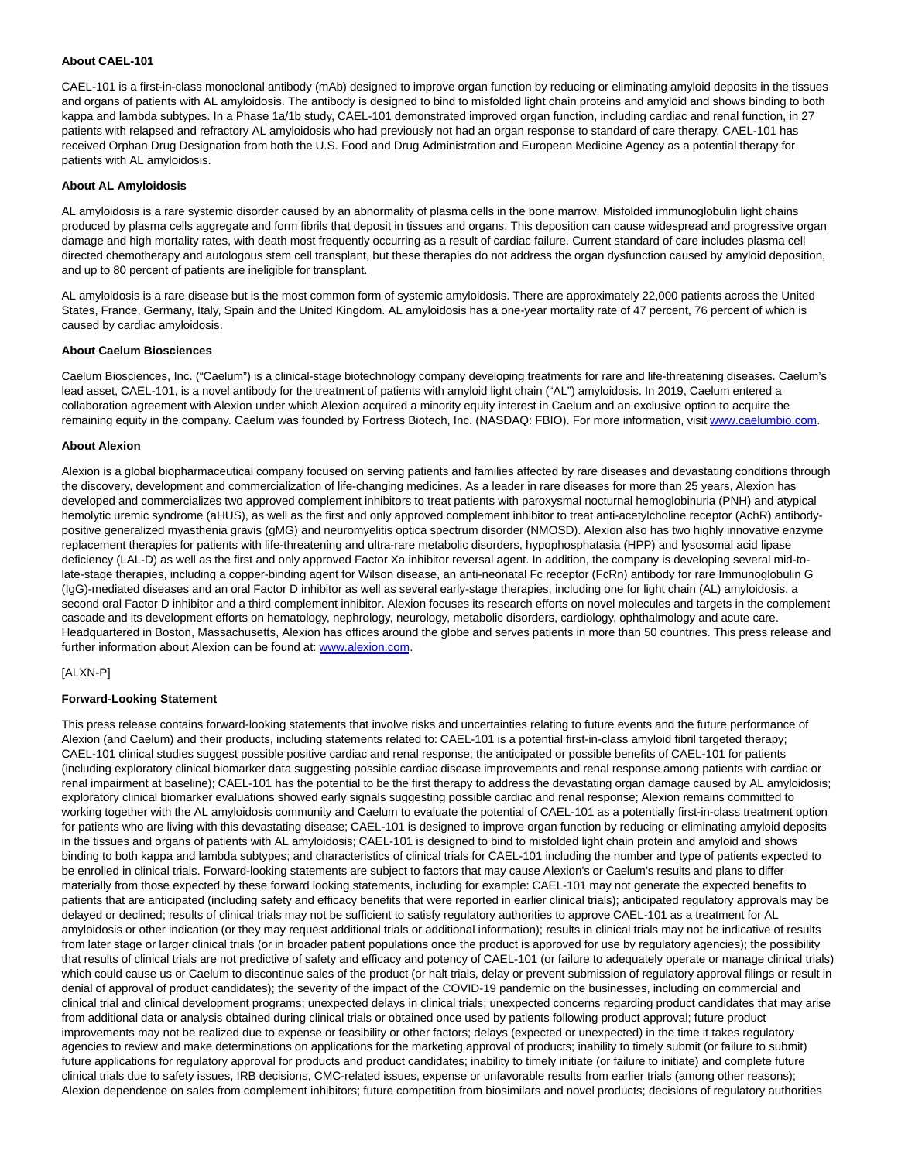## **About CAEL-101**

CAEL-101 is a first-in-class monoclonal antibody (mAb) designed to improve organ function by reducing or eliminating amyloid deposits in the tissues and organs of patients with AL amyloidosis. The antibody is designed to bind to misfolded light chain proteins and amyloid and shows binding to both kappa and lambda subtypes. In a Phase 1a/1b study, CAEL-101 demonstrated improved organ function, including cardiac and renal function, in 27 patients with relapsed and refractory AL amyloidosis who had previously not had an organ response to standard of care therapy. CAEL-101 has received Orphan Drug Designation from both the U.S. Food and Drug Administration and European Medicine Agency as a potential therapy for patients with AL amyloidosis.

#### **About AL Amyloidosis**

AL amyloidosis is a rare systemic disorder caused by an abnormality of plasma cells in the bone marrow. Misfolded immunoglobulin light chains produced by plasma cells aggregate and form fibrils that deposit in tissues and organs. This deposition can cause widespread and progressive organ damage and high mortality rates, with death most frequently occurring as a result of cardiac failure. Current standard of care includes plasma cell directed chemotherapy and autologous stem cell transplant, but these therapies do not address the organ dysfunction caused by amyloid deposition, and up to 80 percent of patients are ineligible for transplant.

AL amyloidosis is a rare disease but is the most common form of systemic amyloidosis. There are approximately 22,000 patients across the United States, France, Germany, Italy, Spain and the United Kingdom. AL amyloidosis has a one-year mortality rate of 47 percent, 76 percent of which is caused by cardiac amyloidosis.

#### **About Caelum Biosciences**

Caelum Biosciences, Inc. ("Caelum") is a clinical-stage biotechnology company developing treatments for rare and life-threatening diseases. Caelum's lead asset, CAEL-101, is a novel antibody for the treatment of patients with amyloid light chain ("AL") amyloidosis. In 2019, Caelum entered a collaboration agreement with Alexion under which Alexion acquired a minority equity interest in Caelum and an exclusive option to acquire the remaining equity in the company. Caelum was founded by Fortress Biotech, Inc. (NASDAQ: FBIO). For more information, visi[t www.caelumbio.com.](https://cts.businesswire.com/ct/CT?id=smartlink&url=http%3A%2F%2Fwww.caelumbio.com&esheet=52443692&newsitemid=20210611005037&lan=en-US&anchor=www.caelumbio.com&index=3&md5=4eb45c60d2a31c88b743a003edeb48b1)

### **About Alexion**

Alexion is a global biopharmaceutical company focused on serving patients and families affected by rare diseases and devastating conditions through the discovery, development and commercialization of life-changing medicines. As a leader in rare diseases for more than 25 years, Alexion has developed and commercializes two approved complement inhibitors to treat patients with paroxysmal nocturnal hemoglobinuria (PNH) and atypical hemolytic uremic syndrome (aHUS), as well as the first and only approved complement inhibitor to treat anti-acetylcholine receptor (AchR) antibodypositive generalized myasthenia gravis (gMG) and neuromyelitis optica spectrum disorder (NMOSD). Alexion also has two highly innovative enzyme replacement therapies for patients with life-threatening and ultra-rare metabolic disorders, hypophosphatasia (HPP) and lysosomal acid lipase deficiency (LAL-D) as well as the first and only approved Factor Xa inhibitor reversal agent. In addition, the company is developing several mid-tolate-stage therapies, including a copper-binding agent for Wilson disease, an anti-neonatal Fc receptor (FcRn) antibody for rare Immunoglobulin G (IgG)-mediated diseases and an oral Factor D inhibitor as well as several early-stage therapies, including one for light chain (AL) amyloidosis, a second oral Factor D inhibitor and a third complement inhibitor. Alexion focuses its research efforts on novel molecules and targets in the complement cascade and its development efforts on hematology, nephrology, neurology, metabolic disorders, cardiology, ophthalmology and acute care. Headquartered in Boston, Massachusetts, Alexion has offices around the globe and serves patients in more than 50 countries. This press release and further information about Alexion can be found at: [www.alexion.com.](https://cts.businesswire.com/ct/CT?id=smartlink&url=http%3A%2F%2Fwww.alexion.com&esheet=52443692&newsitemid=20210611005037&lan=en-US&anchor=www.alexion.com&index=4&md5=feb158851b0a712921523a3440eeb1b1)

### [ALXN-P]

#### **Forward-Looking Statement**

This press release contains forward-looking statements that involve risks and uncertainties relating to future events and the future performance of Alexion (and Caelum) and their products, including statements related to: CAEL-101 is a potential first-in-class amyloid fibril targeted therapy; CAEL-101 clinical studies suggest possible positive cardiac and renal response; the anticipated or possible benefits of CAEL-101 for patients (including exploratory clinical biomarker data suggesting possible cardiac disease improvements and renal response among patients with cardiac or renal impairment at baseline); CAEL-101 has the potential to be the first therapy to address the devastating organ damage caused by AL amyloidosis; exploratory clinical biomarker evaluations showed early signals suggesting possible cardiac and renal response; Alexion remains committed to working together with the AL amyloidosis community and Caelum to evaluate the potential of CAEL-101 as a potentially first-in-class treatment option for patients who are living with this devastating disease; CAEL-101 is designed to improve organ function by reducing or eliminating amyloid deposits in the tissues and organs of patients with AL amyloidosis; CAEL-101 is designed to bind to misfolded light chain protein and amyloid and shows binding to both kappa and lambda subtypes; and characteristics of clinical trials for CAEL-101 including the number and type of patients expected to be enrolled in clinical trials. Forward-looking statements are subject to factors that may cause Alexion's or Caelum's results and plans to differ materially from those expected by these forward looking statements, including for example: CAEL-101 may not generate the expected benefits to patients that are anticipated (including safety and efficacy benefits that were reported in earlier clinical trials); anticipated regulatory approvals may be delayed or declined; results of clinical trials may not be sufficient to satisfy regulatory authorities to approve CAEL-101 as a treatment for AL amyloidosis or other indication (or they may request additional trials or additional information); results in clinical trials may not be indicative of results from later stage or larger clinical trials (or in broader patient populations once the product is approved for use by regulatory agencies); the possibility that results of clinical trials are not predictive of safety and efficacy and potency of CAEL-101 (or failure to adequately operate or manage clinical trials) which could cause us or Caelum to discontinue sales of the product (or halt trials, delay or prevent submission of regulatory approval filings or result in denial of approval of product candidates); the severity of the impact of the COVID-19 pandemic on the businesses, including on commercial and clinical trial and clinical development programs; unexpected delays in clinical trials; unexpected concerns regarding product candidates that may arise from additional data or analysis obtained during clinical trials or obtained once used by patients following product approval; future product improvements may not be realized due to expense or feasibility or other factors; delays (expected or unexpected) in the time it takes regulatory agencies to review and make determinations on applications for the marketing approval of products; inability to timely submit (or failure to submit) future applications for regulatory approval for products and product candidates; inability to timely initiate (or failure to initiate) and complete future clinical trials due to safety issues, IRB decisions, CMC-related issues, expense or unfavorable results from earlier trials (among other reasons); Alexion dependence on sales from complement inhibitors; future competition from biosimilars and novel products; decisions of regulatory authorities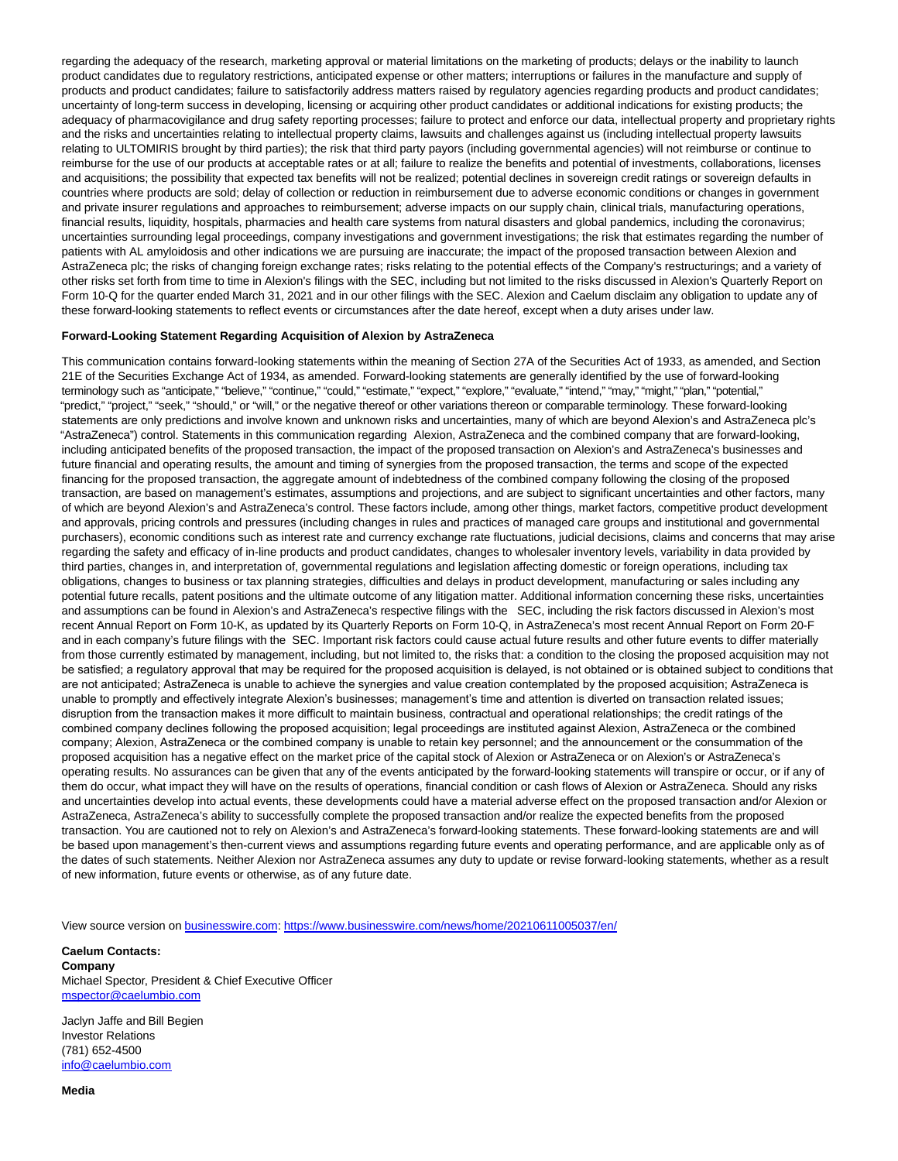regarding the adequacy of the research, marketing approval or material limitations on the marketing of products; delays or the inability to launch product candidates due to regulatory restrictions, anticipated expense or other matters; interruptions or failures in the manufacture and supply of products and product candidates; failure to satisfactorily address matters raised by regulatory agencies regarding products and product candidates; uncertainty of long-term success in developing, licensing or acquiring other product candidates or additional indications for existing products; the adequacy of pharmacovigilance and drug safety reporting processes; failure to protect and enforce our data, intellectual property and proprietary rights and the risks and uncertainties relating to intellectual property claims, lawsuits and challenges against us (including intellectual property lawsuits relating to ULTOMIRIS brought by third parties); the risk that third party payors (including governmental agencies) will not reimburse or continue to reimburse for the use of our products at acceptable rates or at all; failure to realize the benefits and potential of investments, collaborations, licenses and acquisitions; the possibility that expected tax benefits will not be realized; potential declines in sovereign credit ratings or sovereign defaults in countries where products are sold; delay of collection or reduction in reimbursement due to adverse economic conditions or changes in government and private insurer regulations and approaches to reimbursement; adverse impacts on our supply chain, clinical trials, manufacturing operations, financial results, liquidity, hospitals, pharmacies and health care systems from natural disasters and global pandemics, including the coronavirus; uncertainties surrounding legal proceedings, company investigations and government investigations; the risk that estimates regarding the number of patients with AL amyloidosis and other indications we are pursuing are inaccurate; the impact of the proposed transaction between Alexion and AstraZeneca plc; the risks of changing foreign exchange rates; risks relating to the potential effects of the Company's restructurings; and a variety of other risks set forth from time to time in Alexion's filings with the SEC, including but not limited to the risks discussed in Alexion's Quarterly Report on Form 10-Q for the quarter ended March 31, 2021 and in our other filings with the SEC. Alexion and Caelum disclaim any obligation to update any of these forward-looking statements to reflect events or circumstances after the date hereof, except when a duty arises under law.

#### **Forward-Looking Statement Regarding Acquisition of Alexion by AstraZeneca**

This communication contains forward-looking statements within the meaning of Section 27A of the Securities Act of 1933, as amended, and Section 21E of the Securities Exchange Act of 1934, as amended. Forward-looking statements are generally identified by the use of forward-looking terminology such as "anticipate," "believe," "continue," "could," "estimate," "expect," "explore," "evaluate," "intend," "may," "might," "plan," "potential," "predict," "project," "seek," "should," or "will," or the negative thereof or other variations thereon or comparable terminology. These forward-looking statements are only predictions and involve known and unknown risks and uncertainties, many of which are beyond Alexion's and AstraZeneca plc's "AstraZeneca") control. Statements in this communication regarding Alexion, AstraZeneca and the combined company that are forward-looking, including anticipated benefits of the proposed transaction, the impact of the proposed transaction on Alexion's and AstraZeneca's businesses and future financial and operating results, the amount and timing of synergies from the proposed transaction, the terms and scope of the expected financing for the proposed transaction, the aggregate amount of indebtedness of the combined company following the closing of the proposed transaction, are based on management's estimates, assumptions and projections, and are subject to significant uncertainties and other factors, many of which are beyond Alexion's and AstraZeneca's control. These factors include, among other things, market factors, competitive product development and approvals, pricing controls and pressures (including changes in rules and practices of managed care groups and institutional and governmental purchasers), economic conditions such as interest rate and currency exchange rate fluctuations, judicial decisions, claims and concerns that may arise regarding the safety and efficacy of in-line products and product candidates, changes to wholesaler inventory levels, variability in data provided by third parties, changes in, and interpretation of, governmental regulations and legislation affecting domestic or foreign operations, including tax obligations, changes to business or tax planning strategies, difficulties and delays in product development, manufacturing or sales including any potential future recalls, patent positions and the ultimate outcome of any litigation matter. Additional information concerning these risks, uncertainties and assumptions can be found in Alexion's and AstraZeneca's respective filings with the SEC, including the risk factors discussed in Alexion's most recent Annual Report on Form 10-K, as updated by its Quarterly Reports on Form 10-Q, in AstraZeneca's most recent Annual Report on Form 20-F and in each company's future filings with the SEC. Important risk factors could cause actual future results and other future events to differ materially from those currently estimated by management, including, but not limited to, the risks that: a condition to the closing the proposed acquisition may not be satisfied; a regulatory approval that may be required for the proposed acquisition is delayed, is not obtained or is obtained subject to conditions that are not anticipated; AstraZeneca is unable to achieve the synergies and value creation contemplated by the proposed acquisition; AstraZeneca is unable to promptly and effectively integrate Alexion's businesses; management's time and attention is diverted on transaction related issues; disruption from the transaction makes it more difficult to maintain business, contractual and operational relationships; the credit ratings of the combined company declines following the proposed acquisition; legal proceedings are instituted against Alexion, AstraZeneca or the combined company; Alexion, AstraZeneca or the combined company is unable to retain key personnel; and the announcement or the consummation of the proposed acquisition has a negative effect on the market price of the capital stock of Alexion or AstraZeneca or on Alexion's or AstraZeneca's operating results. No assurances can be given that any of the events anticipated by the forward-looking statements will transpire or occur, or if any of them do occur, what impact they will have on the results of operations, financial condition or cash flows of Alexion or AstraZeneca. Should any risks and uncertainties develop into actual events, these developments could have a material adverse effect on the proposed transaction and/or Alexion or AstraZeneca, AstraZeneca's ability to successfully complete the proposed transaction and/or realize the expected benefits from the proposed transaction. You are cautioned not to rely on Alexion's and AstraZeneca's forward-looking statements. These forward-looking statements are and will be based upon management's then-current views and assumptions regarding future events and operating performance, and are applicable only as of the dates of such statements. Neither Alexion nor AstraZeneca assumes any duty to update or revise forward-looking statements, whether as a result of new information, future events or otherwise, as of any future date.

View source version on [businesswire.com:](http://businesswire.com/)<https://www.businesswire.com/news/home/20210611005037/en/>

**Caelum Contacts: Company** Michael Spector, President & Chief Executive Officer [mspector@caelumbio.com](mailto:mspector@caelumbio.com)

Jaclyn Jaffe and Bill Begien Investor Relations (781) 652-4500 [info@caelumbio.com](mailto:info@caelumbio.com)

**Media**